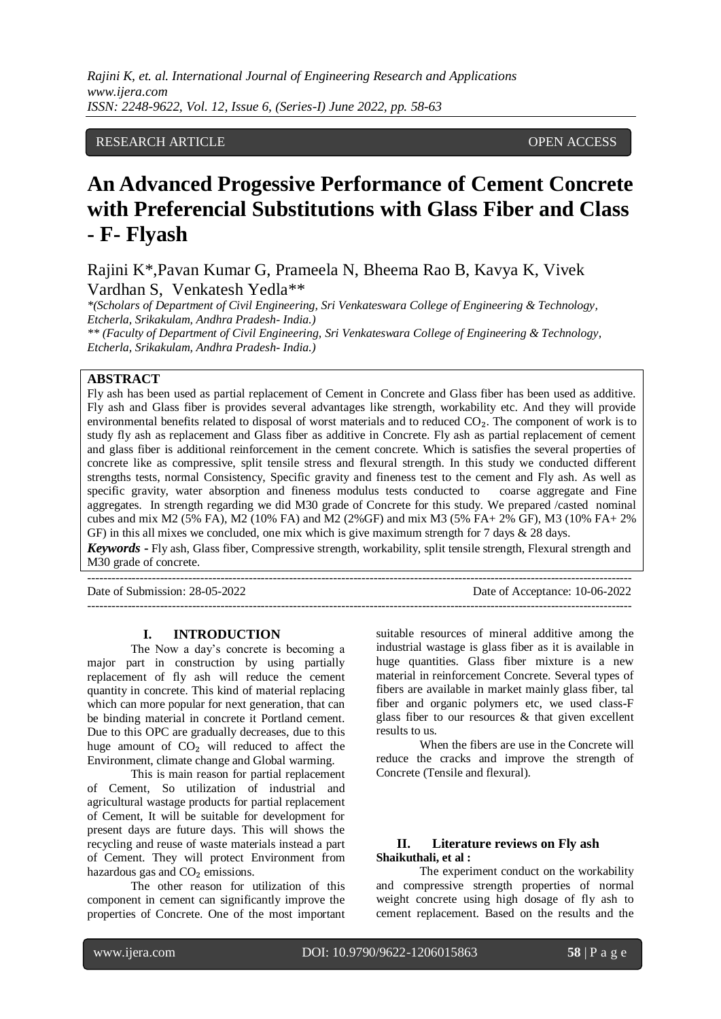## RESEARCH ARTICLE OPEN ACCESS

# **An Advanced Progessive Performance of Cement Concrete with Preferencial Substitutions with Glass Fiber and Class - F- Flyash**

Rajini K\*,Pavan Kumar G, Prameela N, Bheema Rao B, Kavya K, Vivek Vardhan S, Venkatesh Yedla\*\*

*\*(Scholars of Department of Civil Engineering, Sri Venkateswara College of Engineering & Technology, Etcherla, Srikakulam, Andhra Pradesh- India.)*

*\*\* (Faculty of Department of Civil Engineering, Sri Venkateswara College of Engineering & Technology, Etcherla, Srikakulam, Andhra Pradesh- India.)*

#### **ABSTRACT**

Fly ash has been used as partial replacement of Cement in Concrete and Glass fiber has been used as additive. Fly ash and Glass fiber is provides several advantages like strength, workability etc. And they will provide environmental benefits related to disposal of worst materials and to reduced  $CO<sub>2</sub>$ . The component of work is to study fly ash as replacement and Glass fiber as additive in Concrete. Fly ash as partial replacement of cement and glass fiber is additional reinforcement in the cement concrete. Which is satisfies the several properties of concrete like as compressive, split tensile stress and flexural strength. In this study we conducted different strengths tests, normal Consistency, Specific gravity and fineness test to the cement and Fly ash. As well as specific gravity, water absorption and fineness modulus tests conducted to coarse aggregate and Fine aggregates. In strength regarding we did M30 grade of Concrete for this study. We prepared /casted nominal cubes and mix M2 (5% FA), M2 (10% FA) and M2 (2%GF) and mix M3 (5% FA+ 2% GF), M3 (10% FA+ 2% GF) in this all mixes we concluded, one mix which is give maximum strength for 7 days & 28 days. *Keywords* **-** Fly ash, Glass fiber, Compressive strength, workability, split tensile strength, Flexural strength and M30 grade of concrete.

Date of Submission: 28-05-2022 Date of Acceptance: 10-06-2022 ---------------------------------------------------------------------------------------------------------------------------------------

---------------------------------------------------------------------------------------------------------------------------------------

**I. INTRODUCTION**

The Now a day's concrete is becoming a major part in construction by using partially replacement of fly ash will reduce the cement quantity in concrete. This kind of material replacing which can more popular for next generation, that can be binding material in concrete it Portland cement. Due to this OPC are gradually decreases, due to this huge amount of  $CO<sub>2</sub>$  will reduced to affect the Environment, climate change and Global warming.

This is main reason for partial replacement of Cement, So utilization of industrial and agricultural wastage products for partial replacement of Cement, It will be suitable for development for present days are future days. This will shows the recycling and reuse of waste materials instead a part of Cement. They will protect Environment from hazardous gas and  $CO<sub>2</sub>$  emissions.

The other reason for utilization of this component in cement can significantly improve the properties of Concrete. One of the most important suitable resources of mineral additive among the industrial wastage is glass fiber as it is available in huge quantities. Glass fiber mixture is a new material in reinforcement Concrete. Several types of fibers are available in market mainly glass fiber, tal fiber and organic polymers etc, we used class-F glass fiber to our resources & that given excellent results to us.

When the fibers are use in the Concrete will reduce the cracks and improve the strength of Concrete (Tensile and flexural).

#### **II. Literature reviews on Fly ash Shaikuthali, et al :**

The experiment conduct on the workability and compressive strength properties of normal weight concrete using high dosage of fly ash to cement replacement. Based on the results and the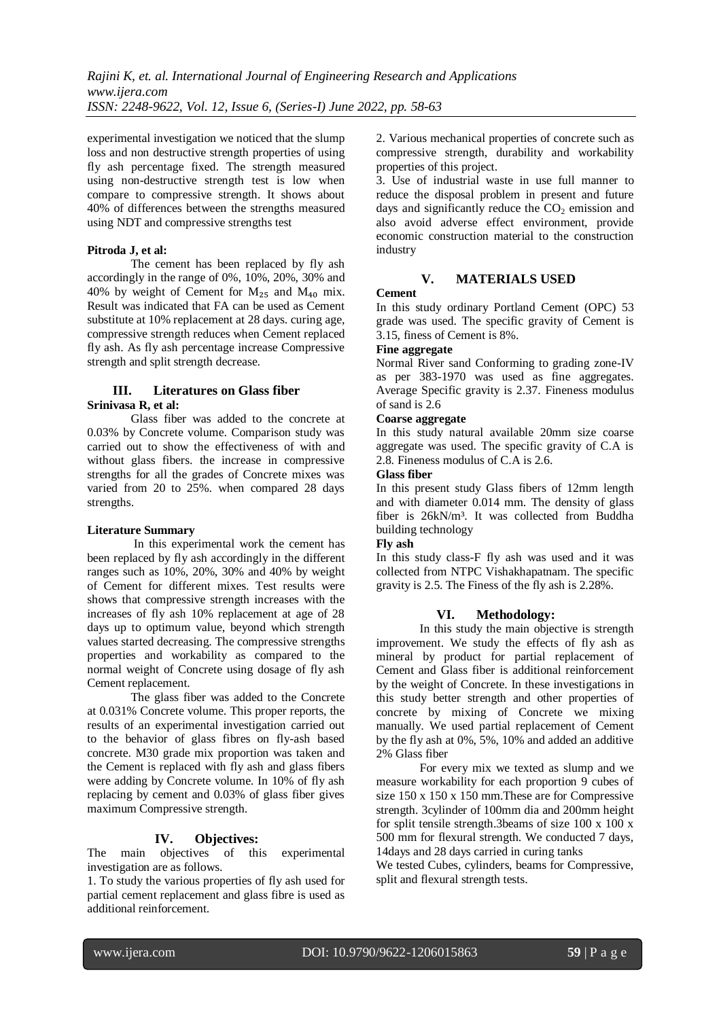experimental investigation we noticed that the slump loss and non destructive strength properties of using fly ash percentage fixed. The strength measured using non-destructive strength test is low when compare to compressive strength. It shows about 40% of differences between the strengths measured using NDT and compressive strengths test

#### **Pitroda J, et al:**

The cement has been replaced by fly ash accordingly in the range of 0%, 10%, 20%, 30% and 40% by weight of Cement for  $M_{25}$  and  $M_{40}$  mix. Result was indicated that FA can be used as Cement substitute at 10% replacement at 28 days. curing age, compressive strength reduces when Cement replaced fly ash. As fly ash percentage increase Compressive strength and split strength decrease.

#### **III. Literatures on Glass fiber Srinivasa R, et al:**

Glass fiber was added to the concrete at 0.03% by Concrete volume. Comparison study was carried out to show the effectiveness of with and without glass fibers. the increase in compressive strengths for all the grades of Concrete mixes was varied from 20 to 25%. when compared 28 days strengths.

#### **Literature Summary**

In this experimental work the cement has been replaced by fly ash accordingly in the different ranges such as 10%, 20%, 30% and 40% by weight of Cement for different mixes. Test results were shows that compressive strength increases with the increases of fly ash 10% replacement at age of 28 days up to optimum value, beyond which strength values started decreasing. The compressive strengths properties and workability as compared to the normal weight of Concrete using dosage of fly ash Cement replacement.

The glass fiber was added to the Concrete at 0.031% Concrete volume. This proper reports, the results of an experimental investigation carried out to the behavior of glass fibres on fly-ash based concrete. M30 grade mix proportion was taken and the Cement is replaced with fly ash and glass fibers were adding by Concrete volume. In 10% of fly ash replacing by cement and 0.03% of glass fiber gives maximum Compressive strength.

## **IV. Objectives:**

The main objectives of this experimental investigation are as follows.

1. To study the various properties of fly ash used for partial cement replacement and glass fibre is used as additional reinforcement.

2. Various mechanical properties of concrete such as compressive strength, durability and workability properties of this project.

3. Use of industrial waste in use full manner to reduce the disposal problem in present and future days and significantly reduce the  $CO<sub>2</sub>$  emission and also avoid adverse effect environment, provide economic construction material to the construction industry

## **V. MATERIALS USED**

#### **Cement**

In this study ordinary Portland Cement (OPC) 53 grade was used. The specific gravity of Cement is 3.15, finess of Cement is 8%.

#### **Fine aggregate**

Normal River sand Conforming to grading zone-IV as per 383-1970 was used as fine aggregates. Average Specific gravity is 2.37. Fineness modulus of sand is 2.6

#### **Coarse aggregate**

In this study natural available 20mm size coarse aggregate was used. The specific gravity of C.A is 2.8. Fineness modulus of C.A is 2.6.

#### **Glass fiber**

In this present study Glass fibers of 12mm length and with diameter 0.014 mm. The density of glass fiber is 26kN/m³. It was collected from Buddha building technology

#### **Fly ash**

In this study class-F fly ash was used and it was collected from NTPC Vishakhapatnam. The specific gravity is 2.5. The Finess of the fly ash is 2.28%.

#### **VI. Methodology:**

In this study the main objective is strength improvement. We study the effects of fly ash as mineral by product for partial replacement of Cement and Glass fiber is additional reinforcement by the weight of Concrete. In these investigations in this study better strength and other properties of concrete by mixing of Concrete we mixing manually. We used partial replacement of Cement by the fly ash at 0%, 5%, 10% and added an additive 2% Glass fiber

For every mix we texted as slump and we measure workability for each proportion 9 cubes of size 150 x 150 x 150 mm.These are for Compressive strength. 3cylinder of 100mm dia and 200mm height for split tensile strength.3beams of size 100 x 100 x 500 mm for flexural strength. We conducted 7 days, 14days and 28 days carried in curing tanks

We tested Cubes, cylinders, beams for Compressive, split and flexural strength tests.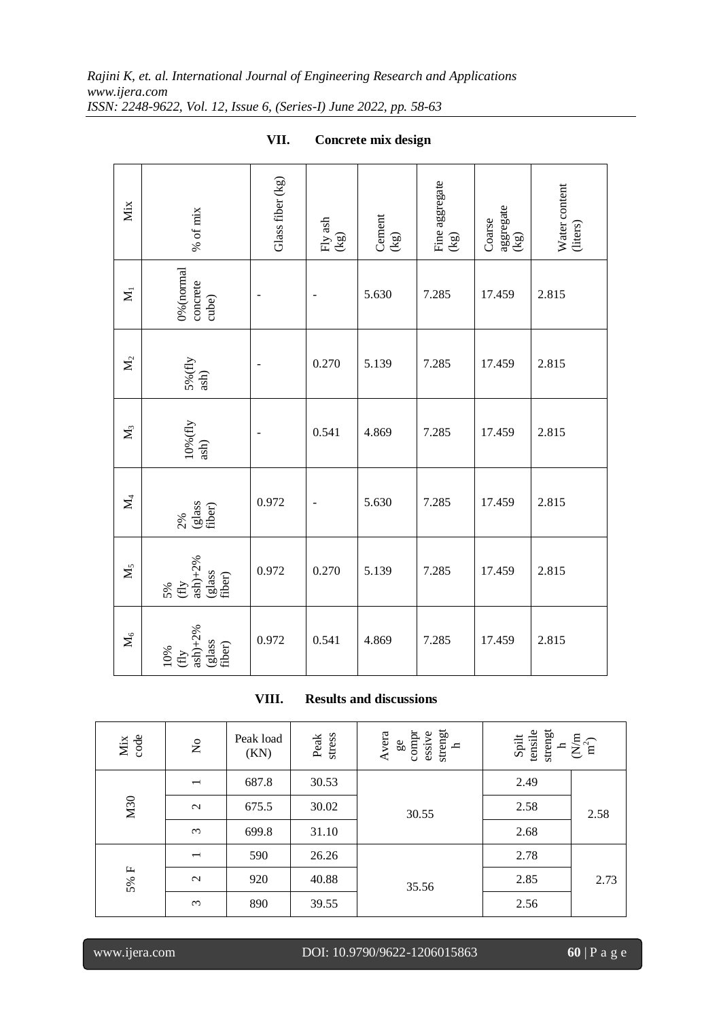| Mix            | $\%$ of $\min$                                                                  | Glass fiber (kg) | Fly ash $(kg)$ | Cement<br>$\left( \mathsf{kg}\right)$ | Fine aggregate $(kg)$ | aggregate<br>$(kg)$<br>Coarse | Water content<br>(liters) |
|----------------|---------------------------------------------------------------------------------|------------------|----------------|---------------------------------------|-----------------------|-------------------------------|---------------------------|
| $\mathbf{X}_1$ | 0% (normal<br>concrete<br>cube)                                                 |                  |                | 5.630                                 | 7.285                 | 17.459                        | 2.815                     |
| $\mathbf{X}_2$ | $\frac{5\%{\mathrm{(fly)}}}{\mathrm{ash}}$                                      |                  | 0.270          | 5.139                                 | 7.285                 | 17.459                        | 2.815                     |
| $\mathbf{M}_3$ | $10\%$ (fly ash)                                                                |                  | 0.541          | 4.869                                 | 7.285                 | 17.459                        | 2.815                     |
| $\mathbf{z}$   | $2\%$<br>(glass<br>fiber)                                                       | 0.972            |                | 5.630                                 | 7.285                 | 17.459                        | 2.815                     |
| $\mathbf{M}_5$ | $5\%$<br>$\frac{f\text{Hy}}{a\sinh 2\%}$<br>$\frac{g\text{lass}}{f\text{iber}}$ | 0.972            | 0.270          | 5.139                                 | 7.285                 | 17.459                        | 2.815                     |
| $\mathbf{M}_6$ | $ash)+2%$<br>(glass<br>fiber)<br>$10\%$ (fly                                    | 0.972            | 0.541          | 4.869                                 | 7.285                 | 17.459                        | 2.815                     |

**VII. Concrete mix design**

**VIII. Results and discussions**

| Mix<br>code | $\stackrel{\mathtt{o}}{\mathsf{z}}$ | Peak load<br>(KN) | Peak<br>stress | strengt $_{\rm h}$<br>Avera<br>compr<br>essive<br>$\mathfrak{g}_2$ | strengt<br>Spilt<br>tensile<br>$\sum_{n^2}$ |      |
|-------------|-------------------------------------|-------------------|----------------|--------------------------------------------------------------------|---------------------------------------------|------|
|             | $\overline{\phantom{0}}$            | 687.8             | 30.53          |                                                                    | 2.49                                        |      |
| M30         | $\mathcal{L}$                       | 675.5             | 30.02          | 30.55                                                              | 2.58                                        | 2.58 |
|             | $\epsilon$                          | 699.8             | 31.10          |                                                                    | 2.68                                        |      |
|             | $\overline{\phantom{0}}$            | 590               | 26.26          |                                                                    | 2.78                                        |      |
| $5\%$ F     | $\sim$                              | 920               | 40.88          | 35.56                                                              | 2.85                                        | 2.73 |
|             | $\omega$                            | 890               | 39.55          |                                                                    | 2.56                                        |      |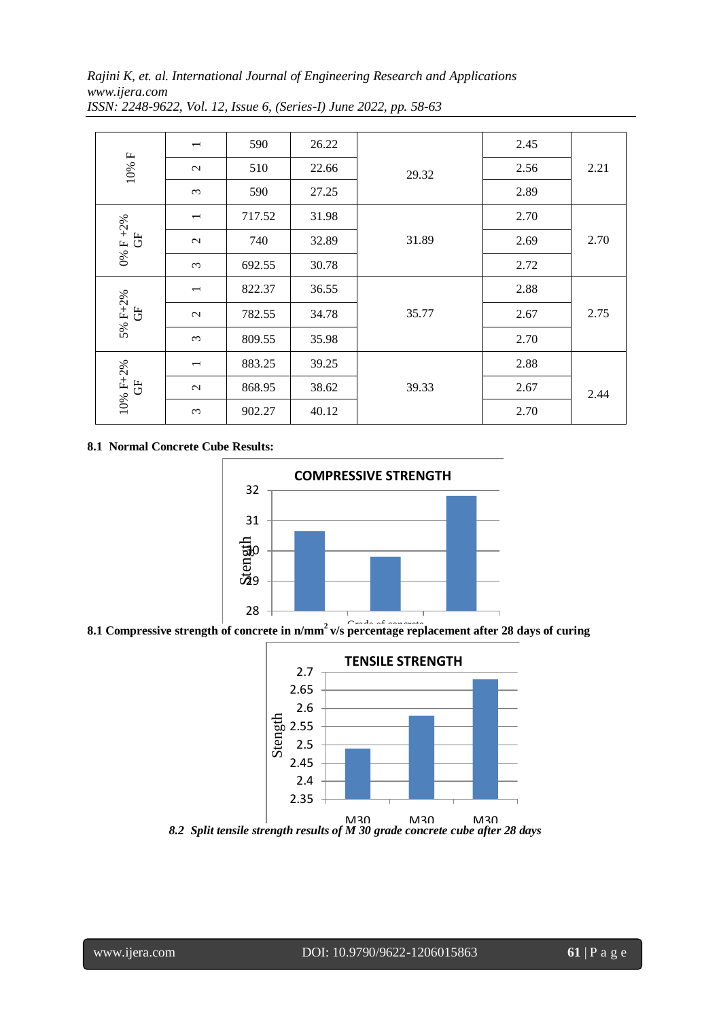*Rajini K, et. al. International Journal of Engineering Research and Applications www.ijera.com*

| 2.45 | 2.21 |
|------|------|
| 2.56 |      |
| 2.89 |      |
| 2.70 | 2.70 |
| 2.69 |      |
| 2.72 |      |
| 2.88 | 2.75 |
| 2.67 |      |
| 2.70 |      |
| 2.88 | 2.44 |
| 2.67 |      |
| 2.70 |      |
|      |      |

*ISSN: 2248-9622, Vol. 12, Issue 6, (Series-I) June 2022, pp. 58-63*

## **8.1 Normal Concrete Cube Results:**



8.1 Compressive strength of concrete in n/mm<sup>2</sup> v/s percentage replacement after 28 days of curing

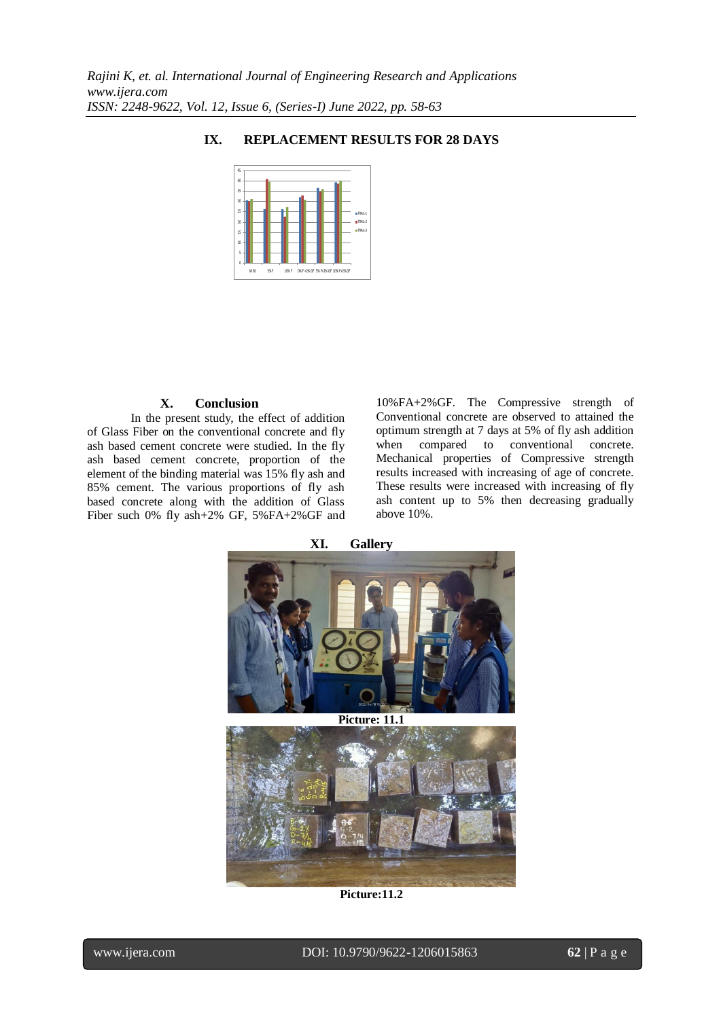

### **IX. REPLACEMENT RESULTS FOR 28 DAYS**

#### **X. Conclusion**

In the present study, the effect of addition of Glass Fiber on the conventional concrete and fly ash based cement concrete were studied. In the fly ash based cement concrete, proportion of the element of the binding material was 15% fly ash and 85% cement. The various proportions of fly ash based concrete along with the addition of Glass Fiber such 0% fly ash+2% GF, 5%FA+2%GF and

10%FA+2%GF. The Compressive strength of Conventional concrete are observed to attained the optimum strength at 7 days at 5% of fly ash addition when compared to conventional concrete. Mechanical properties of Compressive strength results increased with increasing of age of concrete. These results were increased with increasing of fly ash content up to 5% then decreasing gradually above 10%.



**Picture:11.2**